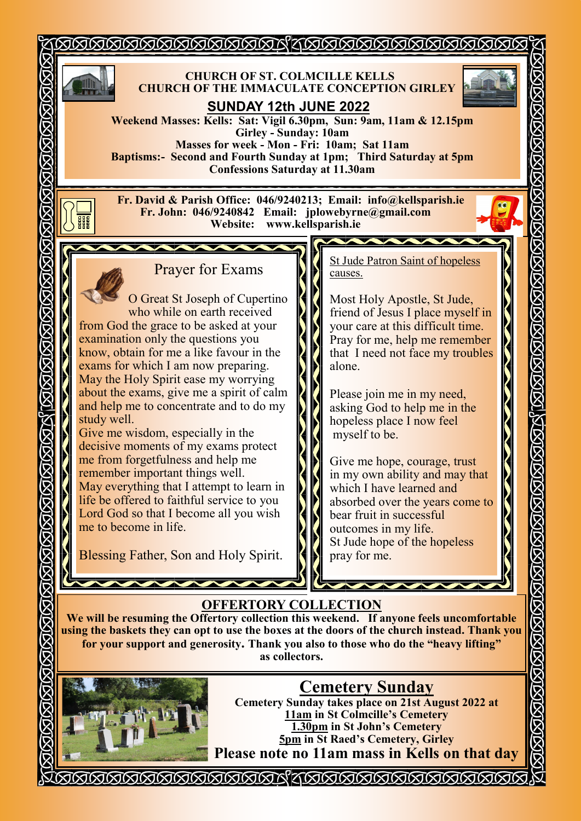